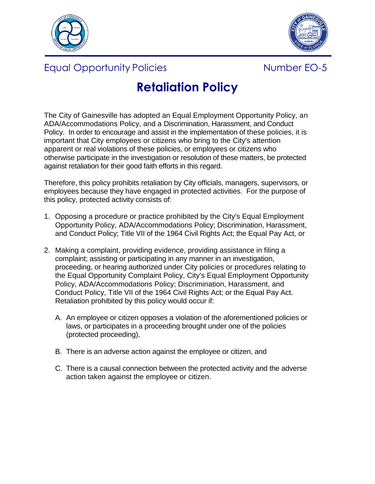



## Equal Opportunity Policies **Number EO-5**



## **Retaliation Policy**

The City of Gainesville has adopted an Equal Employment Opportunity Policy, an ADA/Accommodations Policy, and a Discrimination, Harassment, and Conduct Policy. In order to encourage and assist in the implementation of these policies, it is important that City employees or citizens who bring to the City's attention apparent or real violations of these policies, or employees or citizens who otherwise participate in the investigation or resolution of these matters, be protected against retaliation for their good faith efforts in this regard.

Therefore, this policy prohibits retaliation by City officials, managers, supervisors, or employees because they have engaged in protected activities. For the purpose of this policy, protected activity consists of:

- 1. Opposing a procedure or practice prohibited by the City's Equal Employment Opportunity Policy, ADA/Accommodations Policy; Discrimination, Harassment, and Conduct Policy; Title VII of the 1964 Civil Rights Act; the Equal Pay Act, or
- 2. Making a complaint, providing evidence, providing assistance in filing a complaint; assisting or participating in any manner in an investigation, proceeding, or hearing authorized under City policies or procedures relating to the Equal Opportunity Complaint Policy, City's Equal Employment Opportunity Policy, ADA/Accommodations Policy; Discrimination, Harassment, and Conduct Policy, Title VII of the 1964 Civil Rights Act; or the Equal Pay Act. Retaliation prohibited by this policy would occur if:
	- A. An employee or citizen opposes a violation of the aforementioned policies or laws, or participates in a proceeding brought under one of the policies (protected proceeding),
	- B. There is an adverse action against the employee or citizen, and
	- C. There is a causal connection between the protected activity and the adverse action taken against the employee or citizen.